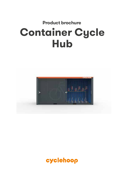## **Product brochure Container Cycle Hub**



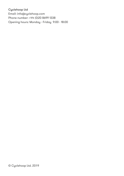Cyclehoop Ltd

Email: info@cyclehoop.com Phone number: +44 (0)20 8699 1338 Opening hours: Monday - Friday 9:00 - 18:00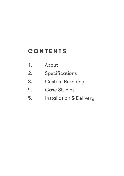### **CONTENTS**

- 1. About
- 2. Specifications
- 3. Custom Branding
- 4. Case Studies
- 5. Installation & Delivery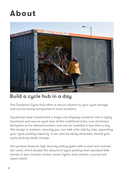## **About**



### Build a cycle hub in a day

The Container Cycle Hub offers a secure solution to your cycle storage and can be easily transported to most locations.

Cyclehoop have transformed a single use shipping container into a highly functional and secure cycle hub. Unlike traditional hubs, ours minimises disruption to the desired location and can be installed in less than a day. This design is modular, meaning you can add units side by side, expanding your cycle parking capacity. It can also be easily relocated, should your cycle parking needs change.

This product features high security sliding gates with a slam lock and two tier racks, which double the amount of cycle parking than standard bike stands. It also includes motion sensor lights, solar panels, a pump and repair stand.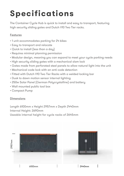# **Specifications**

The Container Cycle Hub is quick to install and easy to transport, featuring high security sliding gates and Dutch V10 Two Tier racks.

#### Features

- 1 unit accommodates parking for 24 bikes
- Easy to transport and relocate
- Quick to install (less than a day)
- Requires minimal planning permission
- Modular design, meaning you can expand to meet your cycle parking needs
- High security sliding gates with a mechanical slam lock
- Gates made from perforated steel panels to allow natural light into the unit
- Mechanical code lock with an anti code detection
- Fitted with Dutch V10 Two Tier Racks with a welded locking bar
- Dusk to dawn motion sensor internal lighting
- 250w Solar Panel (German Polycrystalline) and battery
- Wall mounted public tool box
- Compact Pump

#### Dimensions

Length 6100mm x Height 2957mm x Depth 2440mm Internal Height: 2690mm

Useable internal height for cycle racks of 2645mm

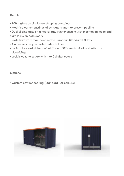#### Details

- 20ft high cube single-use shipping container
- Modified corner castings allow water runoff to prevent pooling
- Dual sliding gate on a heavy duty runner system with mechanical code and slam locks on both doors
- Gate hardware manufactured to European Standard EN 1527
- Aluminium chequer plate Durbar® floor
- Locinox Leonardo Mechanical Code (100% mechanical: no battery or electricity)
- Lock is easy to set up with 4 to 6 digital codes

**Options** 

• Custom powder coating (Standard RAL colours)



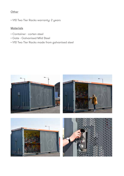#### **Other**

• V10 Two Tier Racks warranty: 2 years

#### **Materials**

- Container corten steel
- Gate Galvanised Mild Steel
- V10 Two Tier Racks made from galvanised steel

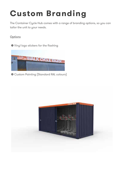## **Custom Branding**

The Container Cycle Hub comes with a range of branding options, so you can tailor the unit to your needs.

#### **Options**

**O** Vinyl logo stickers for the flashing



**@** Custom Painting (Standard RAL colours)

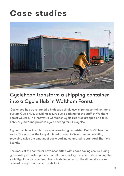### **Case studies**



### Cyclehoop transform a shipping container into a Cycle Hub in Waltham Forest

Cyclehoop has transformed a high cube single-use shipping container into a custom Cycle Hub, providing secure cycle parking for the staff at Waltham Forest Council. The innovative Container Cycle Hub was dropped on site in February 2019 and provides cycle parking for 24 bicycles.

Cyclehoop have installed our space-saving gas-assisted Dutch V10 Two Tier racks. This ensures the footprint is being used to its maximum potential, providing twice the amount of cycle parking compared to standard Sheffield Stands.

The doors of the container have been fitted with space-saving secure sliding gates with perforated panels that allow natural light inside while reducing the visibility of the bicycles from the outside for security. The sliding doors are opened using a mechanical code lock.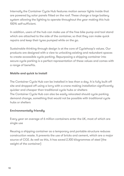Internally the Container Cycle Hub features motion sensor lights inside that are powered by solar panels fitted on the roof. These charge a large battery system allowing the lighting to operate throughout the year making this hub 100% self-sufficient.

In addition, users of the hub can make use of the free bike pump and tool stand which are attached to the side of the container, so that they can make quick repairs and keep their tyres pumped while on the go.

Sustainable thinking through design is at the core of Cuclehoop's values. Our products are designed with a view to unlocking existing and redundant spaces to create accessible cycle parking. Repurposing a shipping container into secure cycle parking is a perfect representation of these values and comes with a range of benefits.

#### **Mobile and quick to install**

The Container Cycle Hub can be installed in less than a day. It is fully built off site and dropped off using a lorry with a crane making installation significantly quicker and cheaper than traditional cycle hubs or shelters The Container Cycle Hub can also be easily relocated should cycle parking demand change, something that would not be possible with traditional cycle hubs or shelters

#### **Environmentally friendly**

Every year an average of 6 million containers enter the UK, most of which are single use

Reusing a shipping container as a temporary and portable structure reduces construction waste. It prevents the use of bricks and cement, which are a major source of CO2. As well as this, it has saved 2,100 kilogrammes of steel (the weight of the container)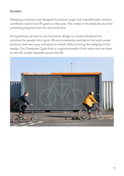#### **Durable**

Shipping containers are designed to endure rough and unpredictable weather conditions and to last 25 years on the seas. This makes it the ideal structure for protecting bicycles from the rain and wind.

At Cyclehoop, we love to use innovative design to create infrastructure solutions for people who cycle. We are constantly working to find and create products that are easy and quick to install, without losing the integrity of the design. The Container Cycle Hub is a great example of this value and we hope to see this model repeated across the UK.